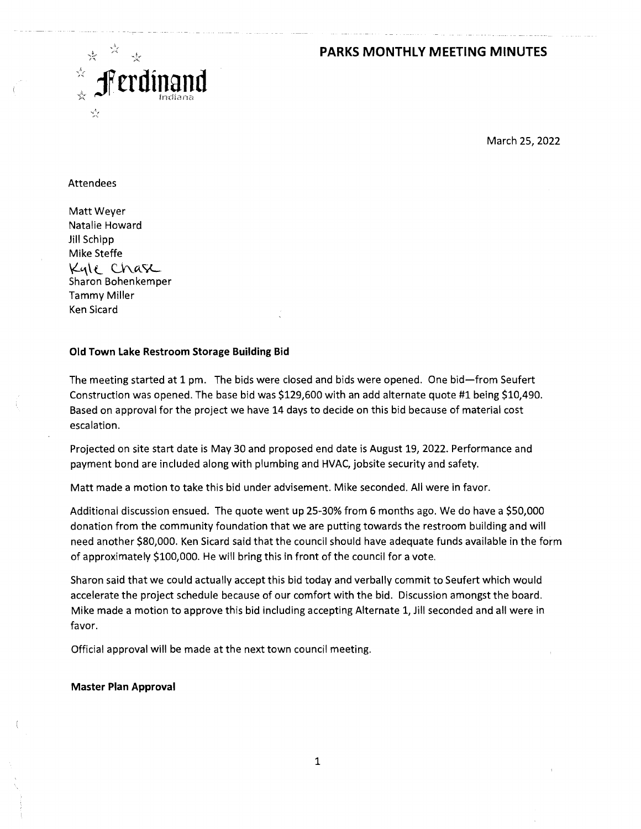## **PARKS MONTHLY MEETING MINUTES**



March 25, 2022

#### Attendees

Matt Weyer Natalie Howard Jill Schipp Mike Steffe Kyle Chasc Sharon Bohenkemper Tammy Miller Ken Sicard

#### **Old Town Lake Restroom Storage Building Bid**

The meeting started at 1 pm. The bids were closed and bids were opened. One bid—from Seufert Construction was opened. The base bid was \$129,600 with an add alternate quote #1 being \$10,490. Based on approval for the project we have 14 days to decide on this bid because of material cost escalation.

Projected on site start date is May 30 and proposed end date is August 19, 2022. Performance and payment bond are included along with plumbing and HVAC, jobsite security and safety.

Matt made a motion to take this bid under advisement. Mike seconded. All were in favor.

Additional discussion ensued. The quote went up 25-30% from 6 months ago. We do have a \$50,000 donation from the community foundation that we are putting towards the restroom building and will need another \$80,000. Ken Sicard said that the council should have adequate funds available in the form of approximately \$100,000. He will bring this in front of the council for a vote.

Sharon said that we could actually accept this bid today and verbally commit to Seufert which would accelerate the project schedule because of our comfort with the bid. Discussion amongst the board. Mike made a motion to approve this bid including accepting Alternate 1, Jill seconded and all were in favor.

Official approval will be made at the next town council meeting.

#### **Master Plan Approval**